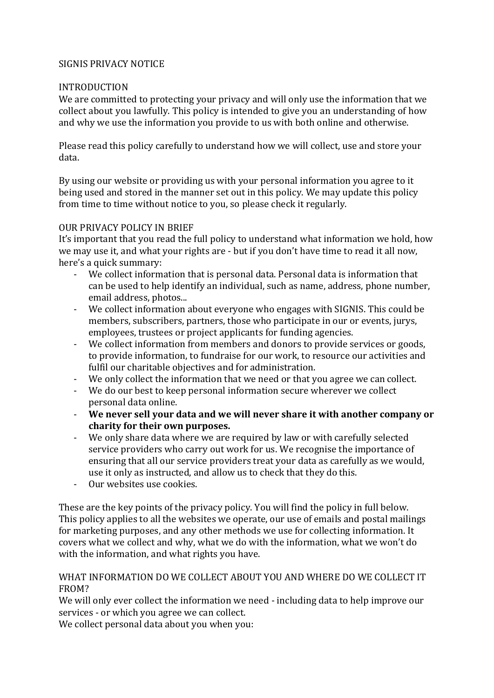## SIGNIS PRIVACY NOTICE

#### INTRODUCTION

We are committed to protecting your privacy and will only use the information that we collect about you lawfully. This policy is intended to give you an understanding of how and why we use the information you provide to us with both online and otherwise.

Please read this policy carefully to understand how we will collect, use and store your data.

By using our website or providing us with your personal information you agree to it being used and stored in the manner set out in this policy. We may update this policy from time to time without notice to you, so please check it regularly.

### OUR PRIVACY POLICY IN BRIEF

It's important that you read the full policy to understand what information we hold, how we may use it, and what your rights are - but if you don't have time to read it all now, here's a quick summary:

- We collect information that is personal data. Personal data is information that can be used to help identify an individual, such as name, address, phone number, email address, photos...
- We collect information about everyone who engages with SIGNIS. This could be members, subscribers, partners, those who participate in our or events, jurys, employees, trustees or project applicants for funding agencies.
- We collect information from members and donors to provide services or goods, to provide information, to fundraise for our work, to resource our activities and fulfil our charitable objectives and for administration.
- We only collect the information that we need or that you agree we can collect.
- We do our best to keep personal information secure wherever we collect personal data online.
- **We never sell your data and we will never share it with another company or charity for their own purposes.**
- We only share data where we are required by law or with carefully selected service providers who carry out work for us. We recognise the importance of ensuring that all our service providers treat your data as carefully as we would, use it only as instructed, and allow us to check that they do this.
- Our websites use cookies.

These are the key points of the privacy policy. You will find the policy in full below. This policy applies to all the websites we operate, our use of emails and postal mailings for marketing purposes, and any other methods we use for collecting information. It covers what we collect and why, what we do with the information, what we won't do with the information, and what rights you have.

### WHAT INFORMATION DO WE COLLECT ABOUT YOU AND WHERE DO WE COLLECT IT FROM?

We will only ever collect the information we need - including data to help improve our services - or which you agree we can collect.

We collect personal data about you when you: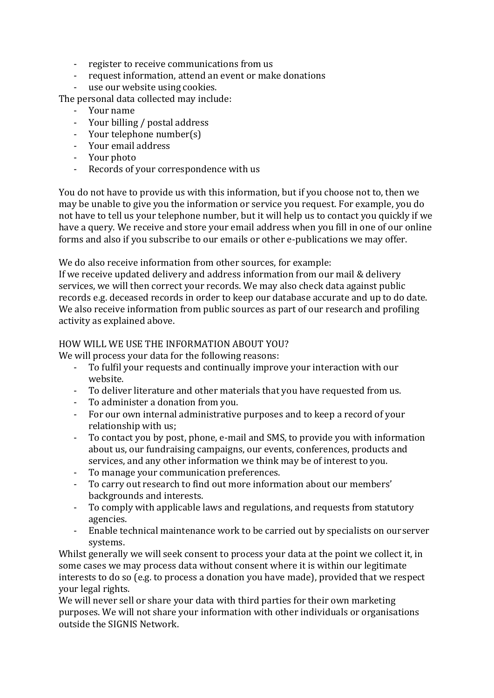- register to receive communications from us
- request information, attend an event or make donations
- use our website using cookies.

The personal data collected may include:

- Your name
- Your billing / postal address
- Your telephone number(s)
- Your email address
- Your photo
- Records of your correspondence with us

You do not have to provide us with this information, but if you choose not to, then we may be unable to give you the information or service you request. For example, you do not have to tell us your telephone number, but it will help us to contact you quickly if we have a query. We receive and store your email address when you fill in one of our online forms and also if you subscribe to our emails or other e-publications we may offer.

We do also receive information from other sources, for example:

If we receive updated delivery and address information from our mail & delivery services, we will then correct your records. We may also check data against public records e.g. deceased records in order to keep our database accurate and up to do date. We also receive information from public sources as part of our research and profiling activity as explained above.

## HOW WILL WE USE THE INFORMATION ABOUT YOU?

We will process your data for the following reasons:

- To fulfil your requests and continually improve your interaction with our website.
- To deliver literature and other materials that you have requested from us.
- To administer a donation from you.
- For our own internal administrative purposes and to keep a record of your relationship with us;
- To contact you by post, phone, e-mail and SMS, to provide you with information about us, our fundraising campaigns, our events, conferences, products and services, and any other information we think may be of interest to you.
- To manage your communication preferences.
- To carry out research to find out more information about our members' backgrounds and interests.
- To comply with applicable laws and regulations, and requests from statutory agencies.
- Enable technical maintenance work to be carried out by specialists on ourserver systems.

Whilst generally we will seek consent to process your data at the point we collect it, in some cases we may process data without consent where it is within our legitimate interests to do so (e.g. to process a donation you have made), provided that we respect your legal rights.

We will never sell or share your data with third parties for their own marketing purposes. We will not share your information with other individuals or organisations outside the SIGNIS Network.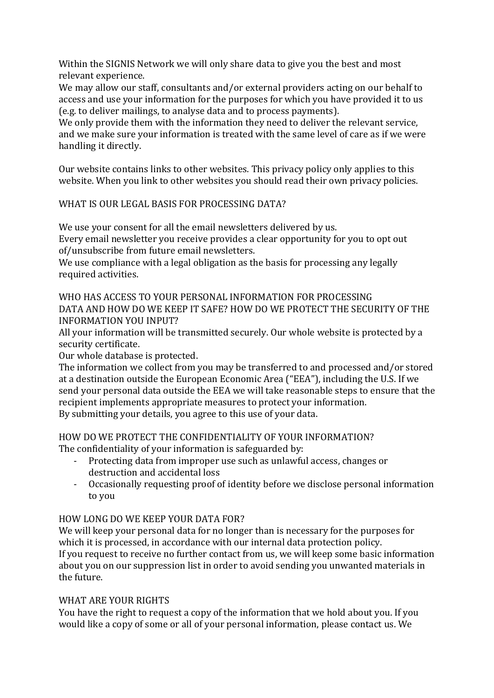Within the SIGNIS Network we will only share data to give you the best and most relevant experience.

We may allow our staff, consultants and/or external providers acting on our behalf to access and use your information for the purposes for which you have provided it to us (e.g. to deliver mailings, to analyse data and to process payments).

We only provide them with the information they need to deliver the relevant service, and we make sure your information is treated with the same level of care as if we were handling it directly.

Our website contains links to other websites. This privacy policy only applies to this website. When you link to other websites you should read their own privacy policies.

# WHAT IS OUR LEGAL BASIS FOR PROCESSING DATA?

We use your consent for all the email newsletters delivered by us.

Every email newsletter you receive provides a clear opportunity for you to opt out of/unsubscribe from future email newsletters.

We use compliance with a legal obligation as the basis for processing any legally required activities.

WHO HAS ACCESS TO YOUR PERSONAL INFORMATION FOR PROCESSING DATA AND HOW DO WE KEEP IT SAFE? HOW DO WE PROTECT THE SECURITY OF THE INFORMATION YOU INPUT?

All your information will be transmitted securely. Our whole website is protected by a security certificate.

Our whole database is protected.

The information we collect from you may be transferred to and processed and/or stored at a destination outside the European Economic Area ("EEA"), including the U.S. If we send your personal data outside the EEA we will take reasonable steps to ensure that the recipient implements appropriate measures to protect your information. By submitting your details, you agree to this use of your data.

HOW DO WE PROTECT THE CONFIDENTIALITY OF YOUR INFORMATION? The confidentiality of your information is safeguarded by:

- Protecting data from improper use such as unlawful access, changes or destruction and accidental loss
- Occasionally requesting proof of identity before we disclose personal information to you

# HOW LONG DO WE KEEP YOUR DATA FOR?

We will keep your personal data for no longer than is necessary for the purposes for which it is processed, in accordance with our internal data protection policy. If you request to receive no further contact from us, we will keep some basic information about you on our suppression list in order to avoid sending you unwanted materials in the future.

# WHAT ARE YOUR RIGHTS

You have the right to request a copy of the information that we hold about you. If you would like a copy of some or all of your personal information, please contact us. We